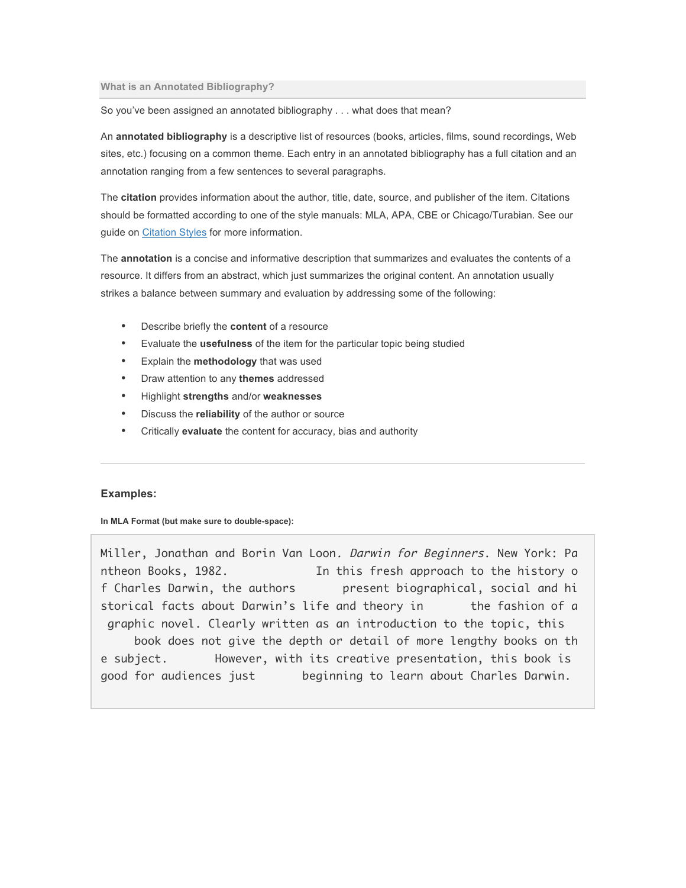## **What is an Annotated Bibliography?**

So you've been assigned an annotated bibliography . . . what does that mean?

An **annotated bibliography** is a descriptive list of resources (books, articles, films, sound recordings, Web sites, etc.) focusing on a common theme. Each entry in an annotated bibliography has a full citation and an annotation ranging from a few sentences to several paragraphs.

The **citation** provides information about the author, title, date, source, and publisher of the item. Citations should be formatted according to one of the style manuals: MLA, APA, CBE or Chicago/Turabian. See our guide on Citation Styles for more information.

The **annotation** is a concise and informative description that summarizes and evaluates the contents of a resource. It differs from an abstract, which just summarizes the original content. An annotation usually strikes a balance between summary and evaluation by addressing some of the following:

- Describe briefly the **content** of a resource
- Evaluate the **usefulness** of the item for the particular topic being studied
- Explain the **methodology** that was used
- Draw attention to any **themes** addressed
- Highlight **strengths** and/or **weaknesses**
- Discuss the **reliability** of the author or source
- Critically **evaluate** the content for accuracy, bias and authority

## **Examples:**

**In MLA Format (but make sure to double-space):**

Miller, Jonathan and Borin Van Loon*. Darwin for Beginners*. New York: Pa ntheon Books, 1982. In this fresh approach to the history o f Charles Darwin, the authors present biographical, social and hi storical facts about Darwin's life and theory in the fashion of a graphic novel. Clearly written as an introduction to the topic, this book does not give the depth or detail of more lengthy books on th e subject. However, with its creative presentation, this book is good for audiences just beginning to learn about Charles Darwin.